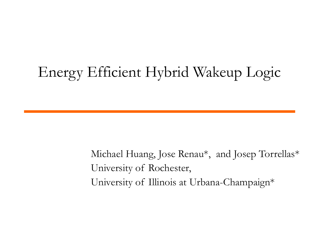#### Energy Efficient Hybrid Wakeup Logic

Michael Huang, Jose Renau\* , and Josep Torrellas\* University of Rochester, University of Illinois at Urbana-Champaign\*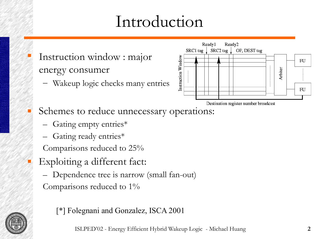#### Introduction

- Instruction window : major energy consumer
	- Wakeup logic checks many entries



- Schemes to reduce unnecessary operations:
	- Gating empty entries\*
	- Gating ready entries\*

Comparisons reduced to 25%

**Exploiting a different fact:** 

– Dependence tree is narrow (small fan-out) Comparisons reduced to 1%



[\*] Folegnani and Gonzalez, ISCA 2001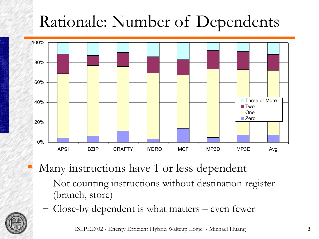# Rationale: Number of Dependents



Many instructions have 1 or less dependent

- Not counting instructions without destination register (branch, store)
- Close-by dependent is what matters even fewer



ISLPED'02 - Energy Efficient Hybrid Wakeup Logic - Michael Huang **3**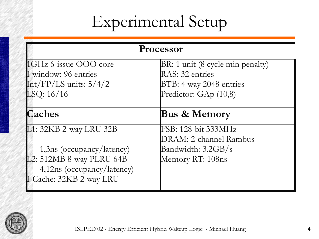## Experimental Setup

| Processor                    |                                  |
|------------------------------|----------------------------------|
| 1GHz 6-issue OOO core        | BR: 1 unit (8 cycle min penalty) |
| L-window: 96 entries         | RAS: 32 entries                  |
| Int/FP/LS units: $5/4/2$     | BTB: 4 way 2048 entries          |
| LSQ: 16/16                   | Predictor: $GAp$ (10,8)          |
| <b>Caches</b>                | <b>Bus &amp; Memory</b>          |
| L1: 32KB 2-way LRU 32B       | FSB: 128-bit 333MHz              |
|                              | DRAM: 2-channel Rambus           |
| $1,3$ ns (occupancy/latency) | Bandwidth: 3.2GB/s               |
| L2: 512MB 8-way PLRU 64B     | Memory RT: 108ns                 |
| 4,12ns (occupancy/latency)   |                                  |
| I-Cache: 32KB 2-way LRU      |                                  |
|                              |                                  |

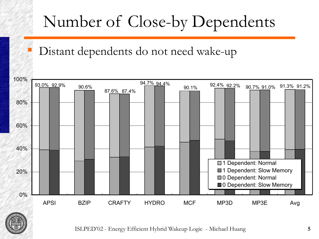## Number of Close-by Dependents

#### Distant dependents do not need wake-up





ISLPED'02 - Energy Efficient Hybrid Wakeup Logic - Michael Huang **5**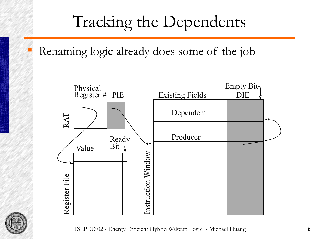## Tracking the Dependents

Renaming logic already does some of the job



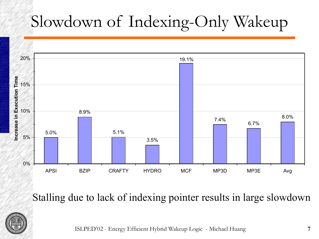# Slowdown of Indexing-Only Wakeup



Stalling due to lack of indexing pointer results in large slowdown



ISLPED'02 - Energy Efficient Hybrid Wakeup Logic - Michael Huang **7**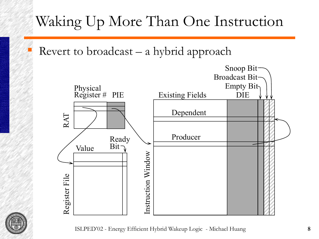#### Waking Up More Than One Instruction

Revert to broadcast – a hybrid approach



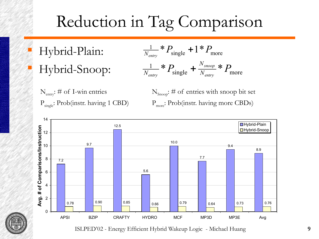## Reduction in Tag Comparison

 Hybrid-Plain: Hybrid-Snoop:

$$
\frac{1}{N_{\text{entry}}} * P_{\text{single}} + 1 * P_{\text{more}}
$$
\n
$$
\frac{1}{N_{\text{entry}}} * P_{\text{single}} + \frac{N_{\text{smooth}}}{N_{\text{entry}}} * P_{\text{more}}
$$

 $N_{\text{entry}}$ : # of I-win entries  $N_{\text{Snoop}}$  $P_{single}$ : Prob(instr. having 1 CBD)  $P_{more}$ 

N<sub>Snoop</sub>: # of entries with snoop bit set P<sub>more</sub>: Prob(instr. having more CBDs)



ISLPED'02 - Energy Efficient Hybrid Wakeup Logic - Michael Huang **9**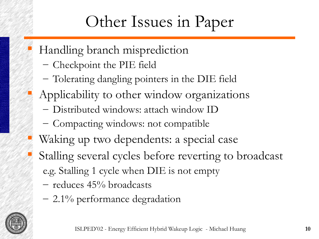## Other Issues in Paper

- Handling branch misprediction
	- Checkpoint the PIE field
	- Tolerating dangling pointers in the DIE field
- Applicability to other window organizations
	- Distributed windows: attach window ID
	- Compacting windows: not compatible
- Waking up two dependents: a special case
- Stalling several cycles before reverting to broadcast e.g. Stalling 1 cycle when DIE is not empty
	- reduces 45% broadcasts
	- 2.1% performance degradation

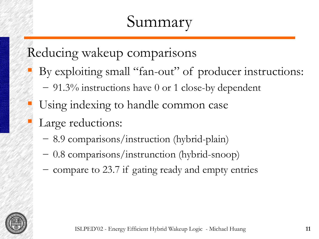#### Summary

Reducing wakeup comparisons

- By exploiting small "fan-out" of producer instructions:
	- 91.3% instructions have 0 or 1 close-by dependent
- Using indexing to handle common case
- Large reductions:
	- 8.9 comparisons/instruction (hybrid-plain)
	- 0.8 comparisons/instrunction (hybrid-snoop)
	- compare to 23.7 if gating ready and empty entries